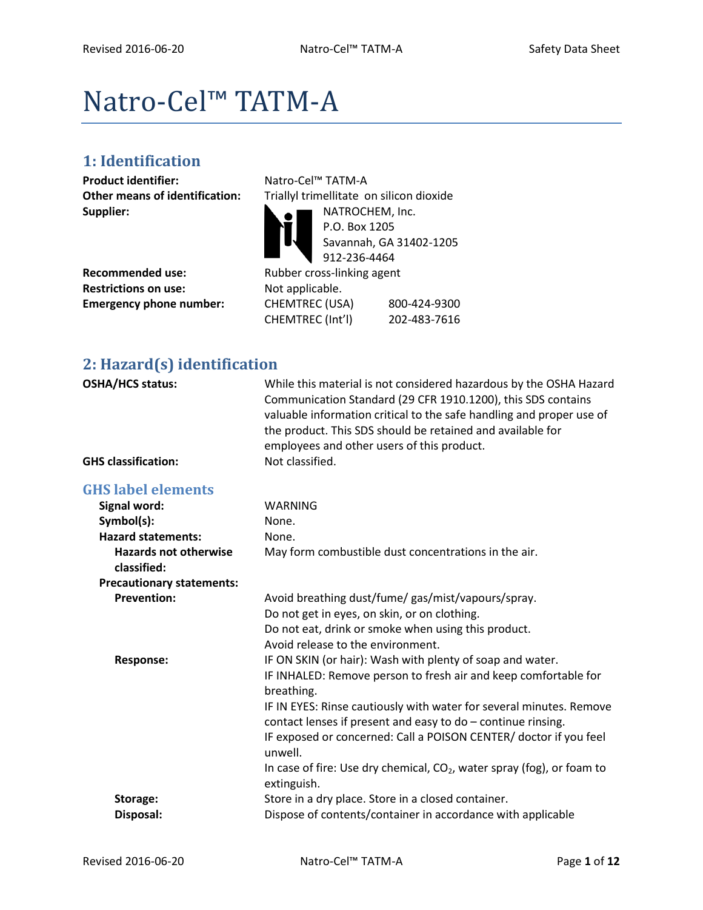# Natro-Cel™ TATM-A

# **1: Identification**

**Product identifier:** Natro-Cel™ TATM-A **Supplier:** NATROCHEM, Inc.

|                                | $\sqrt{212-230-4404}$      |     |
|--------------------------------|----------------------------|-----|
| Recommended use:               | Rubber cross-linking agent |     |
| <b>Restrictions on use:</b>    | Not applicable.            |     |
| <b>Emergency phone number:</b> | CHEMTREC (USA)             | 800 |

**Other means of identification:** Triallyl trimellitate on silicon dioxide P.O. Box 1205 Savannah, GA 31402-1205 912-236-4464 **Not applicable. Emergency phone number:** CHEMTREC (USA) 800-424-9300 CHEMTREC (Int'l) 202-483-7616

# **2: Hazard(s) identification**

| OSHA/HCS status:                            | While this material is not considered hazardous by the OSHA Hazard<br>Communication Standard (29 CFR 1910.1200), this SDS contains<br>valuable information critical to the safe handling and proper use of<br>the product. This SDS should be retained and available for<br>employees and other users of this product. |
|---------------------------------------------|------------------------------------------------------------------------------------------------------------------------------------------------------------------------------------------------------------------------------------------------------------------------------------------------------------------------|
| <b>GHS classification:</b>                  | Not classified.                                                                                                                                                                                                                                                                                                        |
| <b>GHS label elements</b>                   |                                                                                                                                                                                                                                                                                                                        |
| Signal word:                                | <b>WARNING</b>                                                                                                                                                                                                                                                                                                         |
| Symbol(s):                                  | None.                                                                                                                                                                                                                                                                                                                  |
| <b>Hazard statements:</b>                   | None.                                                                                                                                                                                                                                                                                                                  |
| <b>Hazards not otherwise</b><br>classified: | May form combustible dust concentrations in the air.                                                                                                                                                                                                                                                                   |
| <b>Precautionary statements:</b>            |                                                                                                                                                                                                                                                                                                                        |
| <b>Prevention:</b>                          | Avoid breathing dust/fume/ gas/mist/vapours/spray.                                                                                                                                                                                                                                                                     |
|                                             | Do not get in eyes, on skin, or on clothing.                                                                                                                                                                                                                                                                           |
|                                             | Do not eat, drink or smoke when using this product.                                                                                                                                                                                                                                                                    |
|                                             | Avoid release to the environment.                                                                                                                                                                                                                                                                                      |
| <b>Response:</b>                            | IF ON SKIN (or hair): Wash with plenty of soap and water.                                                                                                                                                                                                                                                              |
|                                             | IF INHALED: Remove person to fresh air and keep comfortable for<br>breathing.                                                                                                                                                                                                                                          |
|                                             | IF IN EYES: Rinse cautiously with water for several minutes. Remove                                                                                                                                                                                                                                                    |
|                                             | contact lenses if present and easy to $do$ – continue rinsing.                                                                                                                                                                                                                                                         |
|                                             | IF exposed or concerned: Call a POISON CENTER/ doctor if you feel<br>unwell.                                                                                                                                                                                                                                           |
|                                             | In case of fire: Use dry chemical, CO <sub>2</sub> , water spray (fog), or foam to<br>extinguish.                                                                                                                                                                                                                      |
| Storage:                                    | Store in a dry place. Store in a closed container.                                                                                                                                                                                                                                                                     |
| Disposal:                                   | Dispose of contents/container in accordance with applicable                                                                                                                                                                                                                                                            |
|                                             |                                                                                                                                                                                                                                                                                                                        |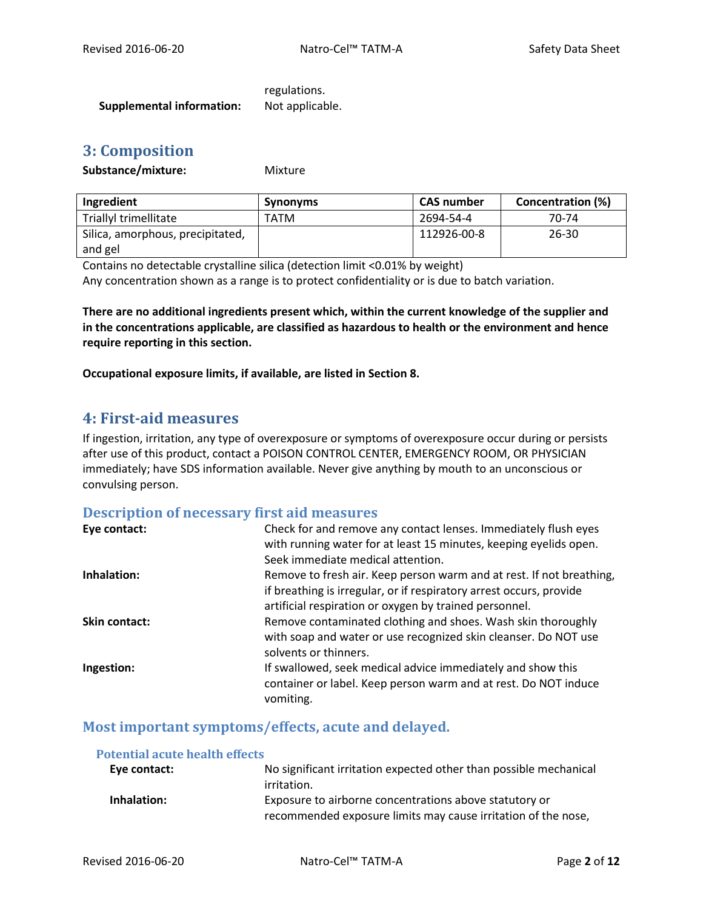regulations. **Supplemental information:** Not applicable.

# **3: Composition**

#### Substance/mixture: Mixture

| Ingredient                       | <b>Synonyms</b> | <b>CAS number</b> | <b>Concentration (%)</b> |
|----------------------------------|-----------------|-------------------|--------------------------|
| Triallyl trimellitate            | TATM            | 2694-54-4         | 70-74                    |
| Silica, amorphous, precipitated, |                 | 112926-00-8       | $26 - 30$                |
| and gel                          |                 |                   |                          |

Contains no detectable crystalline silica (detection limit <0.01% by weight) Any concentration shown as a range is to protect confidentiality or is due to batch variation.

**There are no additional ingredients present which, within the current knowledge of the supplier and in the concentrations applicable, are classified as hazardous to health or the environment and hence require reporting in this section.**

**Occupational exposure limits, if available, are listed in Section 8.**

# **4: First-aid measures**

If ingestion, irritation, any type of overexposure or symptoms of overexposure occur during or persists after use of this product, contact a POISON CONTROL CENTER, EMERGENCY ROOM, OR PHYSICIAN immediately; have SDS information available. Never give anything by mouth to an unconscious or convulsing person.

#### **Description of necessary first aid measures**

| Eye contact:  | Check for and remove any contact lenses. Immediately flush eyes      |
|---------------|----------------------------------------------------------------------|
|               | with running water for at least 15 minutes, keeping eyelids open.    |
|               | Seek immediate medical attention.                                    |
| Inhalation:   | Remove to fresh air. Keep person warm and at rest. If not breathing, |
|               | if breathing is irregular, or if respiratory arrest occurs, provide  |
|               | artificial respiration or oxygen by trained personnel.               |
| Skin contact: | Remove contaminated clothing and shoes. Wash skin thoroughly         |
|               | with soap and water or use recognized skin cleanser. Do NOT use      |
|               | solvents or thinners.                                                |
| Ingestion:    | If swallowed, seek medical advice immediately and show this          |
|               | container or label. Keep person warm and at rest. Do NOT induce      |
|               | vomiting.                                                            |

# **Most important symptoms/effects, acute and delayed.**

| <b>Potential acute health effects</b> |                                                                   |
|---------------------------------------|-------------------------------------------------------------------|
| Eye contact:                          | No significant irritation expected other than possible mechanical |
|                                       | irritation.                                                       |
| Inhalation:                           | Exposure to airborne concentrations above statutory or            |
|                                       | recommended exposure limits may cause irritation of the nose,     |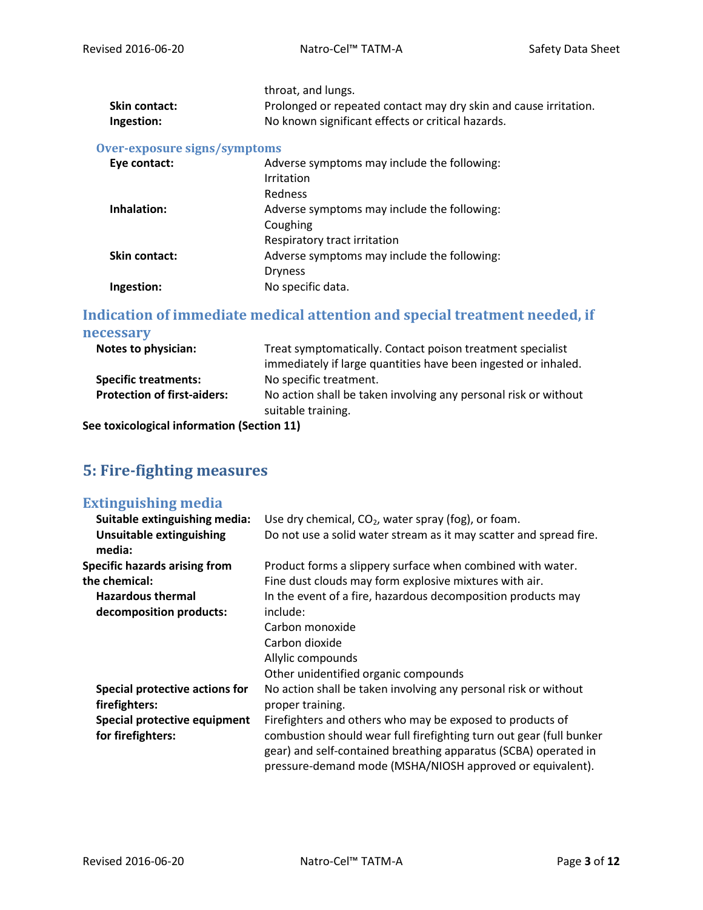|                 | throat, and lungs.                                               |
|-----------------|------------------------------------------------------------------|
| Skin contact: I | Prolonged or repeated contact may dry skin and cause irritation. |
| Ingestion:      | No known significant effects or critical hazards.                |

### **Over-exposure signs/symptoms**

| Eye contact:         | Adverse symptoms may include the following: |
|----------------------|---------------------------------------------|
|                      | Irritation                                  |
|                      | Redness                                     |
| Inhalation:          | Adverse symptoms may include the following: |
|                      | Coughing                                    |
|                      | Respiratory tract irritation                |
| <b>Skin contact:</b> | Adverse symptoms may include the following: |
|                      | <b>Dryness</b>                              |
| Ingestion:           | No specific data.                           |

## **Indication of immediate medical attention and special treatment needed, if necessary**

| Notes to physician:                                               | Treat symptomatically. Contact poison treatment specialist<br>immediately if large quantities have been ingested or inhaled. |
|-------------------------------------------------------------------|------------------------------------------------------------------------------------------------------------------------------|
| <b>Specific treatments:</b><br><b>Protection of first-aiders:</b> | No specific treatment.<br>No action shall be taken involving any personal risk or without<br>suitable training.              |

**See toxicological information (Section 11)**

# **5: Fire-fighting measures**

### **Extinguishing media**

| Suitable extinguishing media:             | Use dry chemical, CO <sub>2</sub> , water spray (fog), or foam.                                                                                                                                     |
|-------------------------------------------|-----------------------------------------------------------------------------------------------------------------------------------------------------------------------------------------------------|
| <b>Unsuitable extinguishing</b><br>media: | Do not use a solid water stream as it may scatter and spread fire.                                                                                                                                  |
| <b>Specific hazards arising from</b>      | Product forms a slippery surface when combined with water.                                                                                                                                          |
| the chemical:                             | Fine dust clouds may form explosive mixtures with air.                                                                                                                                              |
| <b>Hazardous thermal</b>                  | In the event of a fire, hazardous decomposition products may                                                                                                                                        |
| decomposition products:                   | include:                                                                                                                                                                                            |
|                                           | Carbon monoxide                                                                                                                                                                                     |
|                                           | Carbon dioxide                                                                                                                                                                                      |
|                                           | Allylic compounds                                                                                                                                                                                   |
|                                           | Other unidentified organic compounds                                                                                                                                                                |
| Special protective actions for            | No action shall be taken involving any personal risk or without                                                                                                                                     |
| firefighters:                             | proper training.                                                                                                                                                                                    |
| Special protective equipment              | Firefighters and others who may be exposed to products of                                                                                                                                           |
| for firefighters:                         | combustion should wear full firefighting turn out gear (full bunker<br>gear) and self-contained breathing apparatus (SCBA) operated in<br>pressure-demand mode (MSHA/NIOSH approved or equivalent). |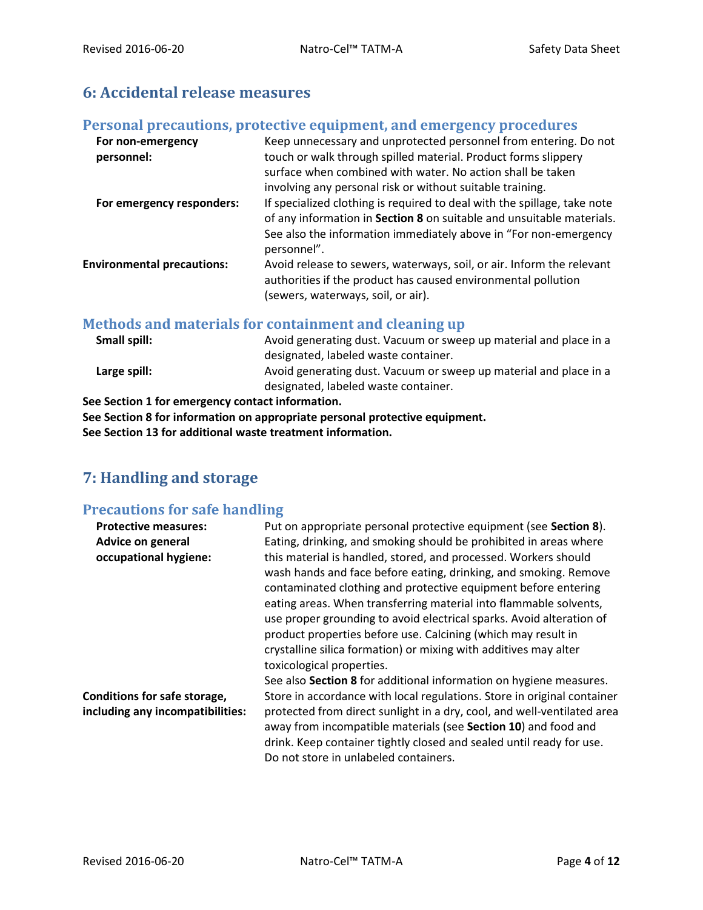# **6: Accidental release measures**

## **Personal precautions, protective equipment, and emergency procedures**

| For non-emergency<br>personnel:   | Keep unnecessary and unprotected personnel from entering. Do not<br>touch or walk through spilled material. Product forms slippery                                           |
|-----------------------------------|------------------------------------------------------------------------------------------------------------------------------------------------------------------------------|
|                                   | surface when combined with water. No action shall be taken                                                                                                                   |
|                                   | involving any personal risk or without suitable training.                                                                                                                    |
| For emergency responders:         | If specialized clothing is required to deal with the spillage, take note                                                                                                     |
|                                   | of any information in Section 8 on suitable and unsuitable materials.                                                                                                        |
|                                   | See also the information immediately above in "For non-emergency<br>personnel".                                                                                              |
| <b>Environmental precautions:</b> | Avoid release to sewers, waterways, soil, or air. Inform the relevant<br>authorities if the product has caused environmental pollution<br>(sewers, waterways, soil, or air). |
|                                   |                                                                                                                                                                              |

## **Methods and materials for containment and cleaning up**

| Small spill: | Avoid generating dust. Vacuum or sweep up material and place in a |
|--------------|-------------------------------------------------------------------|
|              | designated, labeled waste container.                              |
| Large spill: | Avoid generating dust. Vacuum or sweep up material and place in a |
|              | designated, labeled waste container.                              |
|              | aa Caatlan 4 fan aman-sean is santaat infamisation                |

**See Section 1 for emergency contact information.**

**See Section 8 for information on appropriate personal protective equipment. See Section 13 for additional waste treatment information.**

# **7: Handling and storage**

# **Precautions for safe handling**

| Put on appropriate personal protective equipment (see Section 8).                                                                                                                                                                                                                                                                                                                                                                                                                       |
|-----------------------------------------------------------------------------------------------------------------------------------------------------------------------------------------------------------------------------------------------------------------------------------------------------------------------------------------------------------------------------------------------------------------------------------------------------------------------------------------|
| Eating, drinking, and smoking should be prohibited in areas where                                                                                                                                                                                                                                                                                                                                                                                                                       |
| this material is handled, stored, and processed. Workers should<br>wash hands and face before eating, drinking, and smoking. Remove<br>contaminated clothing and protective equipment before entering<br>eating areas. When transferring material into flammable solvents,<br>use proper grounding to avoid electrical sparks. Avoid alteration of<br>product properties before use. Calcining (which may result in<br>crystalline silica formation) or mixing with additives may alter |
| toxicological properties.                                                                                                                                                                                                                                                                                                                                                                                                                                                               |
| See also Section 8 for additional information on hygiene measures.                                                                                                                                                                                                                                                                                                                                                                                                                      |
| Store in accordance with local regulations. Store in original container<br>protected from direct sunlight in a dry, cool, and well-ventilated area<br>away from incompatible materials (see Section 10) and food and<br>drink. Keep container tightly closed and sealed until ready for use.<br>Do not store in unlabeled containers.                                                                                                                                                   |
|                                                                                                                                                                                                                                                                                                                                                                                                                                                                                         |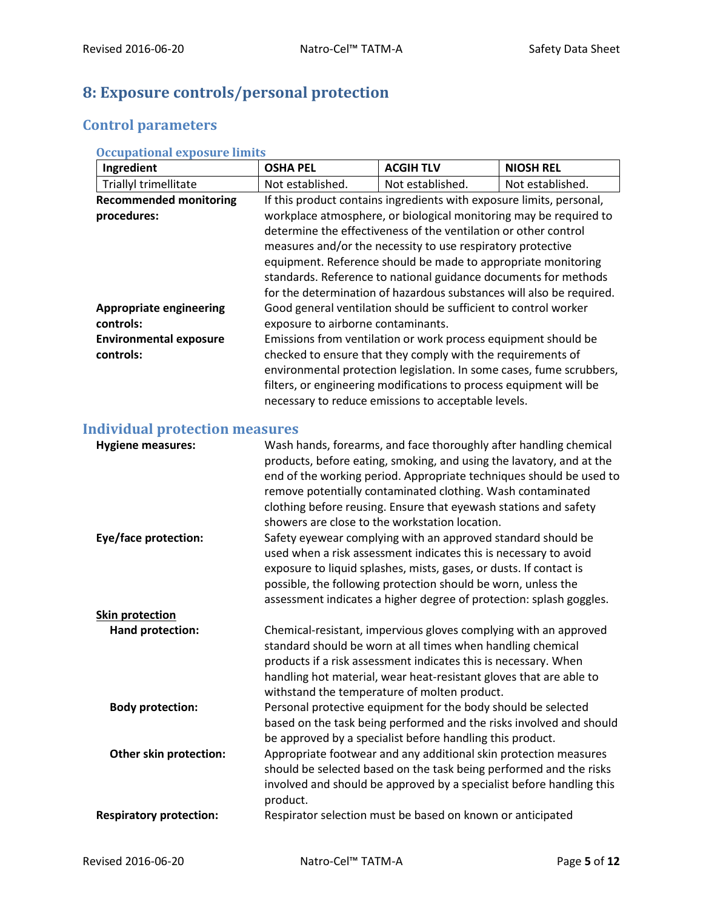# **8: Exposure controls/personal protection**

# **Control parameters**

| <b>Occupational exposure limits</b> |  |  |
|-------------------------------------|--|--|
|                                     |  |  |

| Ingredient                     | <b>OSHA PEL</b>                                                      | <b>ACGIH TLV</b>                                                     | <b>NIOSH REL</b>                                                     |
|--------------------------------|----------------------------------------------------------------------|----------------------------------------------------------------------|----------------------------------------------------------------------|
| Triallyl trimellitate          | Not established.                                                     | Not established.                                                     | Not established.                                                     |
| <b>Recommended monitoring</b>  |                                                                      | If this product contains ingredients with exposure limits, personal, |                                                                      |
| procedures:                    | workplace atmosphere, or biological monitoring may be required to    |                                                                      |                                                                      |
|                                | determine the effectiveness of the ventilation or other control      |                                                                      |                                                                      |
|                                | measures and/or the necessity to use respiratory protective          |                                                                      |                                                                      |
|                                | equipment. Reference should be made to appropriate monitoring        |                                                                      |                                                                      |
|                                | standards. Reference to national guidance documents for methods      |                                                                      |                                                                      |
|                                | for the determination of hazardous substances will also be required. |                                                                      |                                                                      |
| <b>Appropriate engineering</b> |                                                                      | Good general ventilation should be sufficient to control worker      |                                                                      |
| controls:                      | exposure to airborne contaminants.                                   |                                                                      |                                                                      |
| <b>Environmental exposure</b>  |                                                                      | Emissions from ventilation or work process equipment should be       |                                                                      |
| controls:                      |                                                                      | checked to ensure that they comply with the requirements of          |                                                                      |
|                                |                                                                      |                                                                      | environmental protection legislation. In some cases, fume scrubbers, |
|                                |                                                                      | filters, or engineering modifications to process equipment will be   |                                                                      |
|                                |                                                                      | necessary to reduce emissions to acceptable levels.                  |                                                                      |

# **Individual protection measures**

| <b>Hygiene measures:</b>       | Wash hands, forearms, and face thoroughly after handling chemical<br>products, before eating, smoking, and using the lavatory, and at the<br>end of the working period. Appropriate techniques should be used to<br>remove potentially contaminated clothing. Wash contaminated<br>clothing before reusing. Ensure that eyewash stations and safety<br>showers are close to the workstation location. |
|--------------------------------|-------------------------------------------------------------------------------------------------------------------------------------------------------------------------------------------------------------------------------------------------------------------------------------------------------------------------------------------------------------------------------------------------------|
| Eye/face protection:           | Safety eyewear complying with an approved standard should be<br>used when a risk assessment indicates this is necessary to avoid<br>exposure to liquid splashes, mists, gases, or dusts. If contact is<br>possible, the following protection should be worn, unless the<br>assessment indicates a higher degree of protection: splash goggles.                                                        |
| <b>Skin protection</b>         |                                                                                                                                                                                                                                                                                                                                                                                                       |
| Hand protection:               | Chemical-resistant, impervious gloves complying with an approved<br>standard should be worn at all times when handling chemical<br>products if a risk assessment indicates this is necessary. When<br>handling hot material, wear heat-resistant gloves that are able to<br>withstand the temperature of molten product.                                                                              |
| <b>Body protection:</b>        | Personal protective equipment for the body should be selected<br>based on the task being performed and the risks involved and should<br>be approved by a specialist before handling this product.                                                                                                                                                                                                     |
| Other skin protection:         | Appropriate footwear and any additional skin protection measures<br>should be selected based on the task being performed and the risks<br>involved and should be approved by a specialist before handling this<br>product.                                                                                                                                                                            |
| <b>Respiratory protection:</b> | Respirator selection must be based on known or anticipated                                                                                                                                                                                                                                                                                                                                            |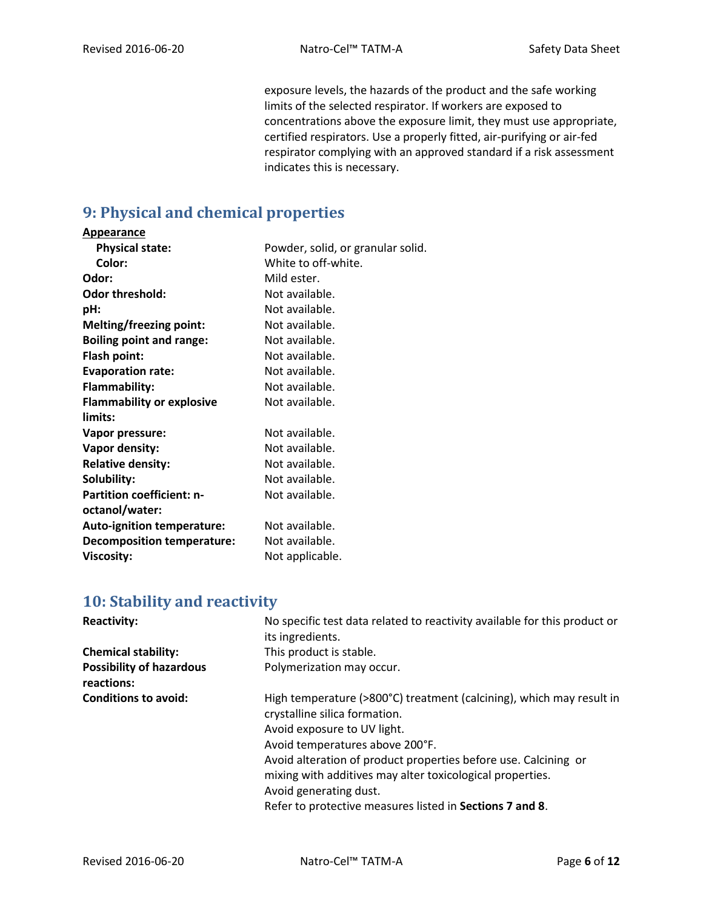exposure levels, the hazards of the product and the safe working limits of the selected respirator. If workers are exposed to concentrations above the exposure limit, they must use appropriate, certified respirators. Use a properly fitted, air-purifying or air-fed respirator complying with an approved standard if a risk assessment indicates this is necessary.

# **9: Physical and chemical properties**

#### **Appearance**

| <b>Physical state:</b>            | Powder, solid, or granular solid. |
|-----------------------------------|-----------------------------------|
| Color:                            | White to off-white.               |
| Odor:                             | Mild ester.                       |
| <b>Odor threshold:</b>            | Not available.                    |
| pH:                               | Not available.                    |
| <b>Melting/freezing point:</b>    | Not available.                    |
| <b>Boiling point and range:</b>   | Not available.                    |
| Flash point:                      | Not available.                    |
| <b>Evaporation rate:</b>          | Not available.                    |
| Flammability:                     | Not available.                    |
| <b>Flammability or explosive</b>  | Not available.                    |
| limits:                           |                                   |
| Vapor pressure:                   | Not available.                    |
| Vapor density:                    | Not available.                    |
| <b>Relative density:</b>          | Not available.                    |
| Solubility:                       | Not available.                    |
| <b>Partition coefficient: n-</b>  | Not available.                    |
| octanol/water:                    |                                   |
| <b>Auto-ignition temperature:</b> | Not available.                    |
| <b>Decomposition temperature:</b> | Not available.                    |
| <b>Viscosity:</b>                 | Not applicable.                   |

# **10: Stability and reactivity**

| <b>Reactivity:</b>                            | No specific test data related to reactivity available for this product or<br>its ingredients.         |
|-----------------------------------------------|-------------------------------------------------------------------------------------------------------|
| <b>Chemical stability:</b>                    | This product is stable.                                                                               |
| <b>Possibility of hazardous</b><br>reactions: | Polymerization may occur.                                                                             |
| <b>Conditions to avoid:</b>                   | High temperature (>800°C) treatment (calcining), which may result in<br>crystalline silica formation. |
|                                               | Avoid exposure to UV light.                                                                           |
|                                               | Avoid temperatures above 200°F.                                                                       |
|                                               | Avoid alteration of product properties before use. Calcining or                                       |
|                                               | mixing with additives may alter toxicological properties.                                             |
|                                               | Avoid generating dust.                                                                                |
|                                               | Refer to protective measures listed in Sections 7 and 8.                                              |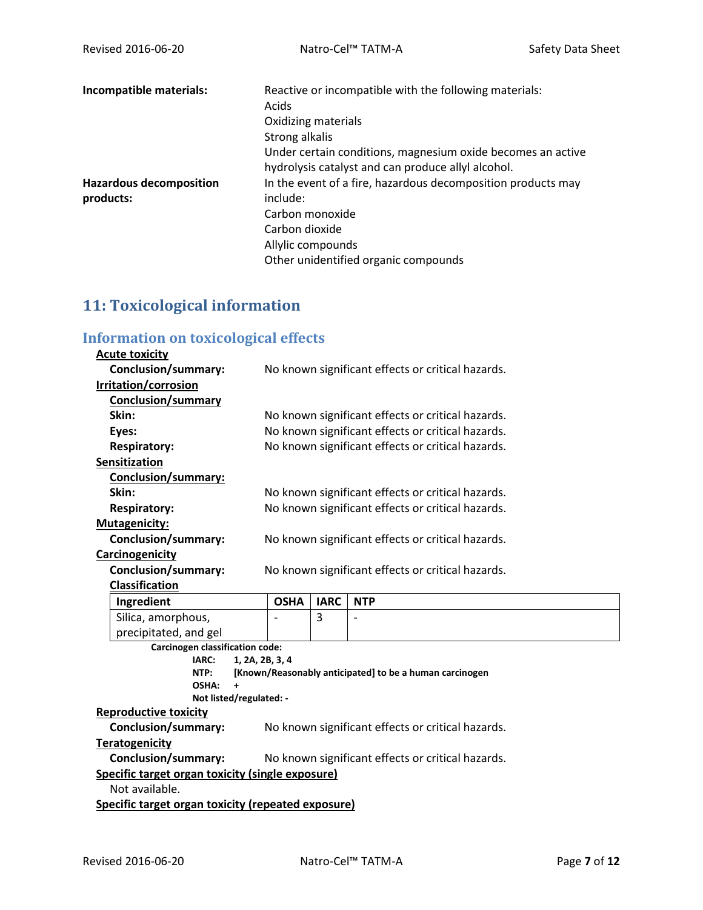| Incompatible materials:        | Reactive or incompatible with the following materials:<br>Acids<br>Oxidizing materials<br>Strong alkalis<br>Under certain conditions, magnesium oxide becomes an active |
|--------------------------------|-------------------------------------------------------------------------------------------------------------------------------------------------------------------------|
|                                | hydrolysis catalyst and can produce allyl alcohol.                                                                                                                      |
| <b>Hazardous decomposition</b> | In the event of a fire, hazardous decomposition products may                                                                                                            |
| products:                      | include:                                                                                                                                                                |
|                                | Carbon monoxide                                                                                                                                                         |
|                                | Carbon dioxide                                                                                                                                                          |
|                                | Allylic compounds                                                                                                                                                       |
|                                | Other unidentified organic compounds                                                                                                                                    |

# **11: Toxicological information**

# **Information on toxicological effects**

| <b>Acute toxicity</b>                                   |                 |                                                   |                                                         |  |
|---------------------------------------------------------|-----------------|---------------------------------------------------|---------------------------------------------------------|--|
| <b>Conclusion/summary:</b>                              |                 |                                                   | No known significant effects or critical hazards.       |  |
| Irritation/corrosion                                    |                 |                                                   |                                                         |  |
| <b>Conclusion/summary</b>                               |                 |                                                   |                                                         |  |
| Skin:                                                   |                 | No known significant effects or critical hazards. |                                                         |  |
| Eyes:                                                   |                 | No known significant effects or critical hazards. |                                                         |  |
| <b>Respiratory:</b>                                     |                 |                                                   | No known significant effects or critical hazards.       |  |
| Sensitization                                           |                 |                                                   |                                                         |  |
| Conclusion/summary:                                     |                 |                                                   |                                                         |  |
| Skin:                                                   |                 |                                                   | No known significant effects or critical hazards.       |  |
| <b>Respiratory:</b>                                     |                 |                                                   | No known significant effects or critical hazards.       |  |
| <b>Mutagenicity:</b>                                    |                 |                                                   |                                                         |  |
| <b>Conclusion/summary:</b>                              |                 |                                                   | No known significant effects or critical hazards.       |  |
| Carcinogenicity                                         |                 |                                                   |                                                         |  |
| <b>Conclusion/summary:</b>                              |                 |                                                   | No known significant effects or critical hazards.       |  |
| <b>Classification</b>                                   |                 |                                                   |                                                         |  |
|                                                         |                 |                                                   |                                                         |  |
| Ingredient                                              | <b>OSHA</b>     | <b>IARC</b>                                       | <b>NTP</b>                                              |  |
| Silica, amorphous,                                      |                 | 3                                                 | $\overline{a}$                                          |  |
| precipitated, and gel                                   |                 |                                                   |                                                         |  |
| <b>Carcinogen classification code:</b>                  |                 |                                                   |                                                         |  |
| IARC:                                                   | 1, 2A, 2B, 3, 4 |                                                   |                                                         |  |
| NTP:                                                    |                 |                                                   | [Known/Reasonably anticipated] to be a human carcinogen |  |
| OSHA:<br>$\ddot{}$                                      |                 |                                                   |                                                         |  |
| Not listed/regulated: -<br><b>Reproductive toxicity</b> |                 |                                                   |                                                         |  |
| <b>Conclusion/summary:</b>                              |                 |                                                   | No known significant effects or critical hazards.       |  |
| <b>Teratogenicity</b>                                   |                 |                                                   |                                                         |  |
| <b>Conclusion/summary:</b>                              |                 |                                                   | No known significant effects or critical hazards.       |  |
| Specific target organ toxicity (single exposure)        |                 |                                                   |                                                         |  |
| Not available.                                          |                 |                                                   |                                                         |  |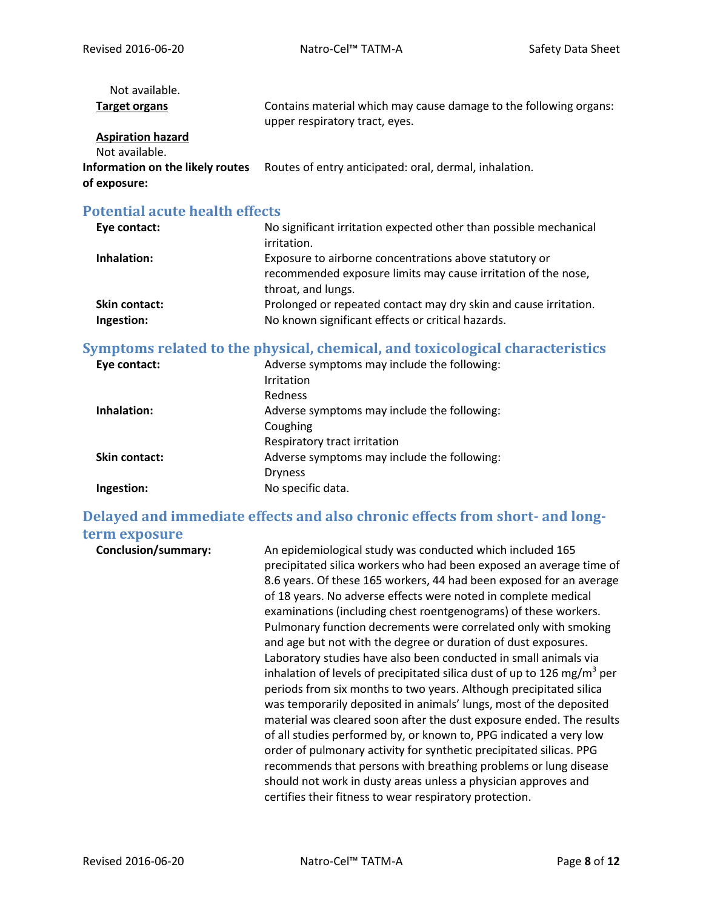| Not available.                                   |                                                                                                     |
|--------------------------------------------------|-----------------------------------------------------------------------------------------------------|
| <b>Target organs</b>                             | Contains material which may cause damage to the following organs:<br>upper respiratory tract, eyes. |
| <b>Aspiration hazard</b><br>Not available.       |                                                                                                     |
| Information on the likely routes<br>of exposure: | Routes of entry anticipated: oral, dermal, inhalation.                                              |
|                                                  |                                                                                                     |

# **Potential acute health effects**

| Eye contact:         | No significant irritation expected other than possible mechanical |
|----------------------|-------------------------------------------------------------------|
|                      | irritation.                                                       |
| Inhalation:          | Exposure to airborne concentrations above statutory or            |
|                      | recommended exposure limits may cause irritation of the nose,     |
|                      | throat, and lungs.                                                |
| <b>Skin contact:</b> | Prolonged or repeated contact may dry skin and cause irritation.  |
| Ingestion:           | No known significant effects or critical hazards.                 |

# **Symptoms related to the physical, chemical, and toxicological characteristics**

| Eye contact:         | Adverse symptoms may include the following: |
|----------------------|---------------------------------------------|
|                      | Irritation                                  |
|                      | <b>Redness</b>                              |
| Inhalation:          | Adverse symptoms may include the following: |
|                      | Coughing                                    |
|                      | Respiratory tract irritation                |
| <b>Skin contact:</b> | Adverse symptoms may include the following: |
|                      | <b>Dryness</b>                              |
| Ingestion:           | No specific data.                           |

# **Delayed and immediate effects and also chronic effects from short- and longterm exposure**

| <b>Conclusion/summary:</b> | An epidemiological study was conducted which included 165<br>precipitated silica workers who had been exposed an average time of<br>8.6 years. Of these 165 workers, 44 had been exposed for an average<br>of 18 years. No adverse effects were noted in complete medical<br>examinations (including chest roentgenograms) of these workers.<br>Pulmonary function decrements were correlated only with smoking<br>and age but not with the degree or duration of dust exposures.<br>Laboratory studies have also been conducted in small animals via<br>inhalation of levels of precipitated silica dust of up to 126 mg/m <sup>3</sup> per<br>periods from six months to two years. Although precipitated silica<br>was temporarily deposited in animals' lungs, most of the deposited<br>material was cleared soon after the dust exposure ended. The results<br>of all studies performed by, or known to, PPG indicated a very low<br>order of pulmonary activity for synthetic precipitated silicas. PPG<br>recommends that persons with breathing problems or lung disease<br>should not work in dusty areas unless a physician approves and |
|----------------------------|----------------------------------------------------------------------------------------------------------------------------------------------------------------------------------------------------------------------------------------------------------------------------------------------------------------------------------------------------------------------------------------------------------------------------------------------------------------------------------------------------------------------------------------------------------------------------------------------------------------------------------------------------------------------------------------------------------------------------------------------------------------------------------------------------------------------------------------------------------------------------------------------------------------------------------------------------------------------------------------------------------------------------------------------------------------------------------------------------------------------------------------------------|
|                            | certifies their fitness to wear respiratory protection.                                                                                                                                                                                                                                                                                                                                                                                                                                                                                                                                                                                                                                                                                                                                                                                                                                                                                                                                                                                                                                                                                            |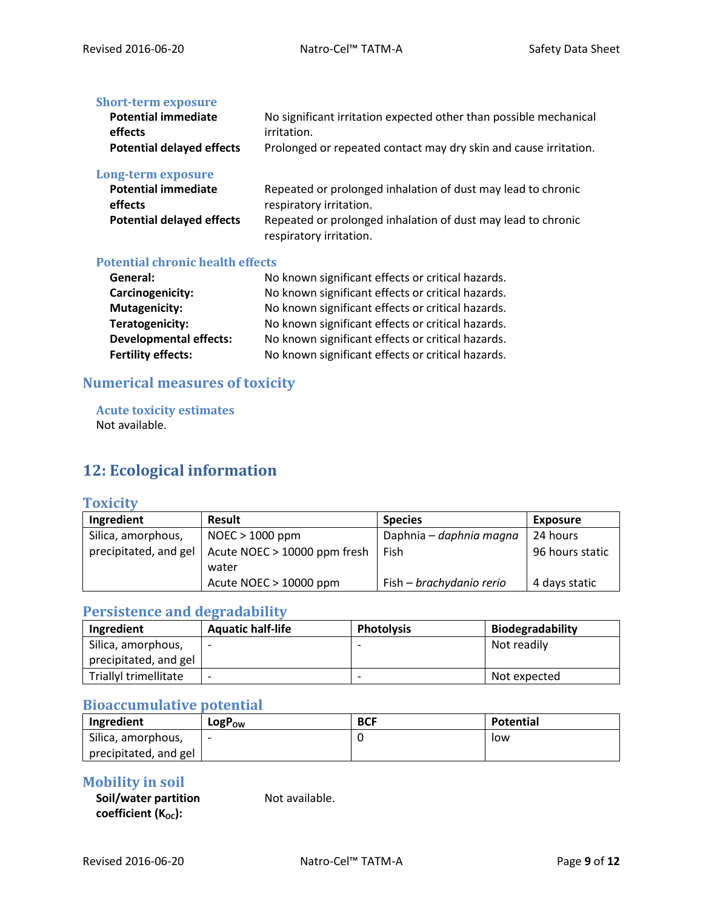#### **Short-term exposure**

| <b>Potential immediate</b>       | No significant irritation expected other than possible mechanical |
|----------------------------------|-------------------------------------------------------------------|
| effects                          | irritation.                                                       |
| <b>Potential delayed effects</b> | Prolonged or repeated contact may dry skin and cause irritation.  |

#### **Long-term exposure**

| <b>Potential immediate</b>       | Repeated or prolonged inhalation of dust may lead to chronic |
|----------------------------------|--------------------------------------------------------------|
| effects                          | respiratory irritation.                                      |
| <b>Potential delayed effects</b> | Repeated or prolonged inhalation of dust may lead to chronic |
|                                  | respiratory irritation.                                      |

#### **Potential chronic health effects**

| General:                      | No known significant effects or critical hazards. |
|-------------------------------|---------------------------------------------------|
| Carcinogenicity:              | No known significant effects or critical hazards. |
| <b>Mutagenicity:</b>          | No known significant effects or critical hazards. |
| Teratogenicity:               | No known significant effects or critical hazards. |
| <b>Developmental effects:</b> | No known significant effects or critical hazards. |
| <b>Fertility effects:</b>     | No known significant effects or critical hazards. |

# **Numerical measures of toxicity**

**Acute toxicity estimates** Not available.

# **12: Ecological information**

#### **Toxicity**

| Ingredient            | <b>Result</b>                | <b>Species</b>           | <b>Exposure</b> |
|-----------------------|------------------------------|--------------------------|-----------------|
| Silica, amorphous,    | $NOEC > 1000$ ppm            | Daphnia – daphnia magna  | 24 hours        |
| precipitated, and gel | Acute NOEC > 10000 ppm fresh | Fish                     | 96 hours static |
|                       | water                        |                          |                 |
|                       | Acute NOEC $> 10000$ ppm     | Fish – brachydanio rerio | 4 days static   |

# **Persistence and degradability**

| Ingredient            | <b>Aquatic half-life</b> | <b>Photolysis</b>        | <b>Biodegradability</b> |
|-----------------------|--------------------------|--------------------------|-------------------------|
| Silica, amorphous,    |                          |                          | Not readily             |
| precipitated, and gel |                          |                          |                         |
| Triallyl trimellitate |                          | $\overline{\phantom{0}}$ | Not expected            |

# **Bioaccumulative potential**

| Ingredient            | LogP <sub>ow</sub> | <b>BCF</b> | Potential |
|-----------------------|--------------------|------------|-----------|
| Silica, amorphous,    |                    |            | low       |
| precipitated, and gel |                    |            |           |

## **Mobility in soil**

| Soil/water partition     |  |
|--------------------------|--|
| coefficient $(K_{OC})$ : |  |

Not available.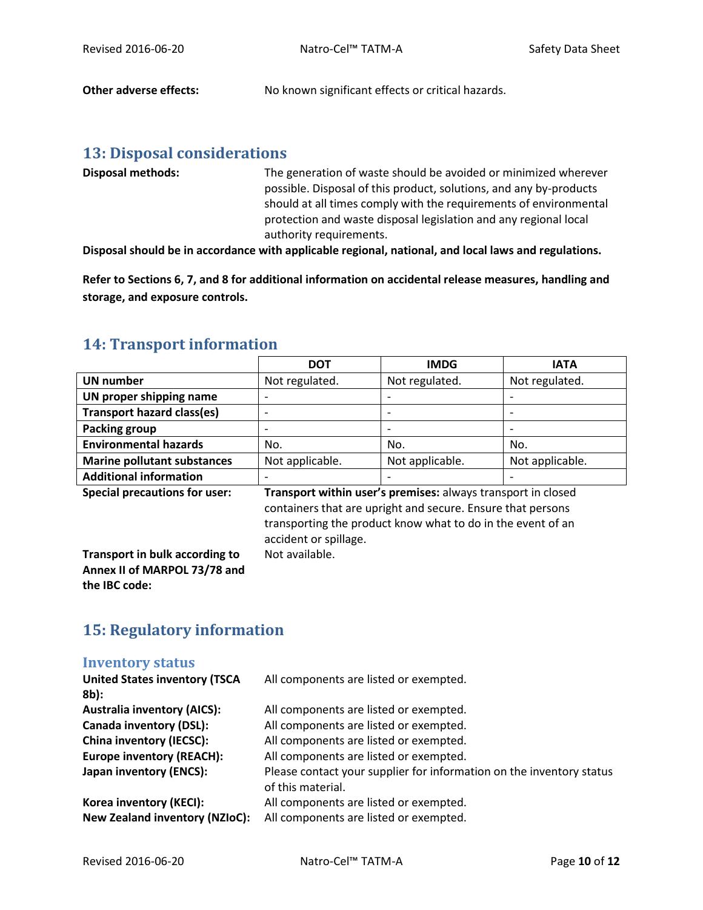**Other adverse effects:** No known significant effects or critical hazards.

## **13: Disposal considerations**

| <b>Disposal methods:</b> | The generation of waste should be avoided or minimized wherever    |
|--------------------------|--------------------------------------------------------------------|
|                          | possible. Disposal of this product, solutions, and any by-products |
|                          | should at all times comply with the requirements of environmental  |
|                          | protection and waste disposal legislation and any regional local   |
|                          | authority requirements.                                            |

**Disposal should be in accordance with applicable regional, national, and local laws and regulations.**

**Refer to Sections 6, 7, and 8 for additional information on accidental release measures, handling and storage, and exposure controls.**

# **14: Transport information**

|                                                  | <b>DOT</b>      | <b>IMDG</b>              | <b>IATA</b>     |
|--------------------------------------------------|-----------------|--------------------------|-----------------|
| <b>UN number</b>                                 | Not regulated.  | Not regulated.           | Not regulated.  |
| UN proper shipping name                          |                 | $\overline{\phantom{a}}$ |                 |
| <b>Transport hazard class(es)</b>                |                 |                          |                 |
| Packing group                                    |                 |                          |                 |
| <b>Environmental hazards</b>                     | No.             | No.                      | No.             |
| <b>Marine pollutant substances</b>               | Not applicable. | Not applicable.          | Not applicable. |
| <b>Additional information</b>                    |                 | $\overline{\phantom{0}}$ |                 |
| $\sim$ $\sim$ $\sim$ $\sim$ $\sim$ $\sim$ $\sim$ |                 |                          |                 |

**Special precautions for user: Transport within user's premises:** always transport in closed containers that are upright and secure. Ensure that persons transporting the product know what to do in the event of an accident or spillage. Not available.

**Transport in bulk according to Annex II of MARPOL 73/78 and the IBC code:**

# **15: Regulatory information**

#### **Inventory status**

| <b>United States inventory (TSCA</b><br>$8b$ : | All components are listed or exempted.                                                    |
|------------------------------------------------|-------------------------------------------------------------------------------------------|
| <b>Australia inventory (AICS):</b>             | All components are listed or exempted.                                                    |
| <b>Canada inventory (DSL):</b>                 | All components are listed or exempted.                                                    |
| <b>China inventory (IECSC):</b>                | All components are listed or exempted.                                                    |
| <b>Europe inventory (REACH):</b>               | All components are listed or exempted.                                                    |
| Japan inventory (ENCS):                        | Please contact your supplier for information on the inventory status<br>of this material. |
| Korea inventory (KECI):                        | All components are listed or exempted.                                                    |
| <b>New Zealand inventory (NZIoC):</b>          | All components are listed or exempted.                                                    |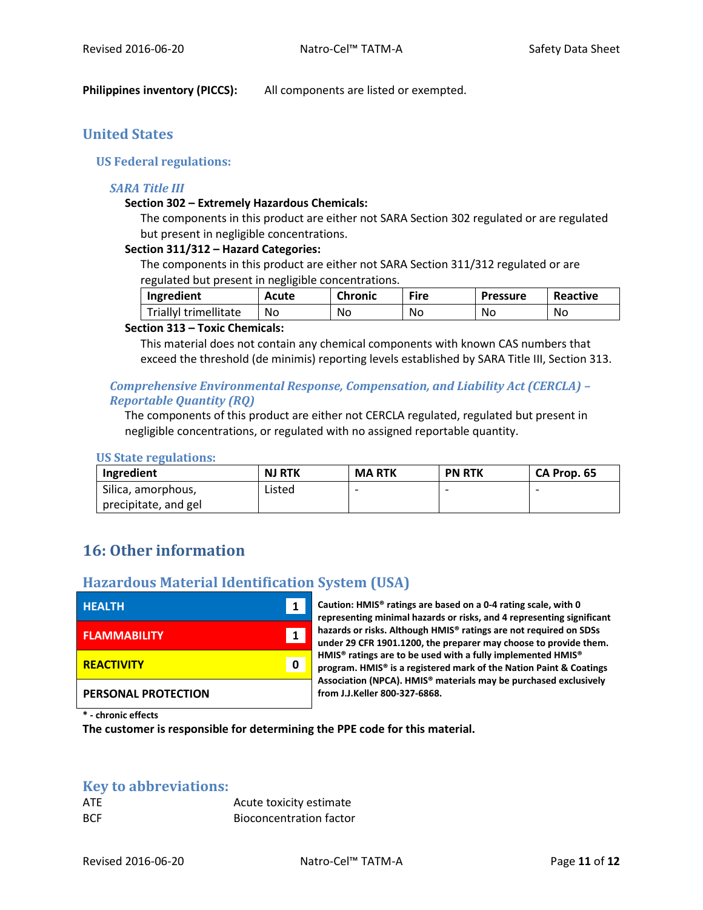**Philippines inventory (PICCS):** All components are listed or exempted.

# **United States**

#### **US Federal regulations:**

#### *SARA Title III*

#### **Section 302 – Extremely Hazardous Chemicals:**

The components in this product are either not SARA Section 302 regulated or are regulated but present in negligible concentrations.

#### **Section 311/312 – Hazard Categories:**

The components in this product are either not SARA Section 311/312 regulated or are regulated but present in negligible concentrations.

| Ingredient            | Acute | <b>Chronic</b> | Fire | <b>Pressure</b> | Reactive |
|-----------------------|-------|----------------|------|-----------------|----------|
| Triallyl trimellitate | No    | No             | No   | No              | No       |

#### **Section 313 – Toxic Chemicals:**

This material does not contain any chemical components with known CAS numbers that exceed the threshold (de minimis) reporting levels established by SARA Title III, Section 313.

#### *Comprehensive Environmental Response, Compensation, and Liability Act (CERCLA) – Reportable Quantity (RQ)*

The components of this product are either not CERCLA regulated, regulated but present in negligible concentrations, or regulated with no assigned reportable quantity.

#### **US State regulations:**

| Ingredient           | <b>NJ RTK</b> | <b>MARTK</b> | <b>PN RTK</b> | CA Prop. 65 |
|----------------------|---------------|--------------|---------------|-------------|
| Silica, amorphous,   | Listed        |              |               |             |
| precipitate, and gel |               |              |               |             |

# **16: Other information**

### **Hazardous Material Identification System (USA)**

| <b>HEALTH</b>       | 1 |  |
|---------------------|---|--|
| <b>FLAMMABILITY</b> | 1 |  |
| <b>REACTIVITY</b>   | ი |  |
| PERSONAL PROTECTION |   |  |

**HEALTH 1 Caution: HMIS® ratings are based on a 0-4 rating scale, with 0 representing minimal hazards or risks, and 4 representing significant hazards or risks. Although HMIS® ratings are not required on SDSs under 29 CFR 1901.1200, the preparer may choose to provide them. HMIS® ratings are to be used with a fully implemented HMIS® program. HMIS® is a registered mark of the Nation Paint & Coatings Association (NPCA). HMIS® materials may be purchased exclusively from J.J.Keller 800-327-6868.**

**\* - chronic effects**

**The customer is responsible for determining the PPE code for this material.**

#### **Key to abbreviations:**

| ATE        | Acute toxicity estimate        |
|------------|--------------------------------|
| <b>BCF</b> | <b>Bioconcentration factor</b> |